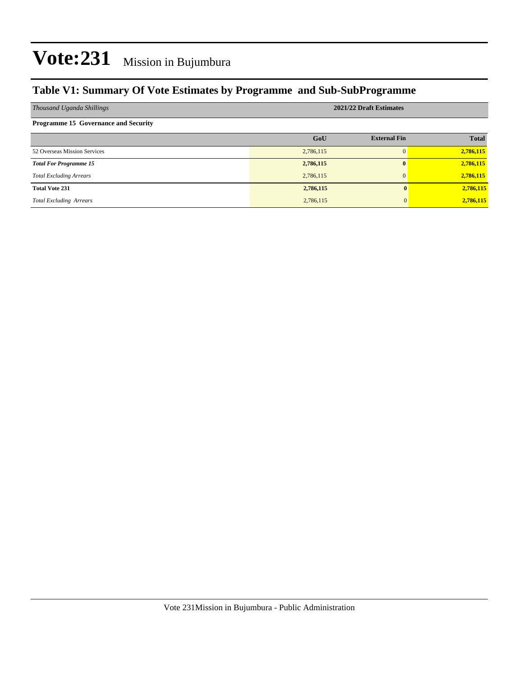#### **Table V1: Summary Of Vote Estimates by Programme and Sub-SubProgramme**

| Thousand Uganda Shillings                   | 2021/22 Draft Estimates |                     |              |  |  |  |  |
|---------------------------------------------|-------------------------|---------------------|--------------|--|--|--|--|
| <b>Programme 15 Governance and Security</b> |                         |                     |              |  |  |  |  |
|                                             | GoU                     | <b>External Fin</b> | <b>Total</b> |  |  |  |  |
| 52 Overseas Mission Services                | 2,786,115               | $\Omega$            | 2,786,115    |  |  |  |  |
| <b>Total For Programme 15</b>               | 2,786,115               | $\mathbf{0}$        | 2,786,115    |  |  |  |  |
| <b>Total Excluding Arrears</b>              | 2,786,115               | $\Omega$            | 2,786,115    |  |  |  |  |
| <b>Total Vote 231</b>                       | 2,786,115               |                     | 2,786,115    |  |  |  |  |
| <b>Total Excluding Arrears</b>              | 2,786,115               |                     | 2,786,115    |  |  |  |  |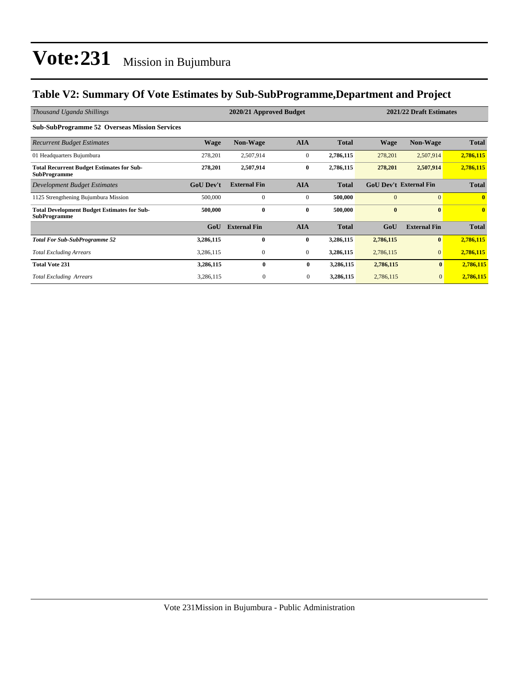#### **Table V2: Summary Of Vote Estimates by Sub-SubProgramme,Department and Project**

| Thousand Uganda Shillings                                                 |                  | 2020/21 Approved Budget |                  | 2021/22 Draft Estimates |           |                               |              |
|---------------------------------------------------------------------------|------------------|-------------------------|------------------|-------------------------|-----------|-------------------------------|--------------|
| <b>Sub-SubProgramme 52 Overseas Mission Services</b>                      |                  |                         |                  |                         |           |                               |              |
| <b>Recurrent Budget Estimates</b>                                         | <b>Wage</b>      | <b>Non-Wage</b>         | <b>AIA</b>       | <b>Total</b>            | Wage      | Non-Wage                      | <b>Total</b> |
| 01 Headquarters Bujumbura                                                 | 278,201          | 2,507,914               | $\mathbf{0}$     | 2,786,115               | 278,201   | 2,507,914                     | 2,786,115    |
| <b>Total Recurrent Budget Estimates for Sub-</b><br><b>SubProgramme</b>   | 278,201          | 2,507,914               | $\bf{0}$         | 2,786,115               | 278,201   | 2,507,914                     | 2,786,115    |
| Development Budget Estimates                                              | <b>GoU Dev't</b> | <b>External Fin</b>     | <b>AIA</b>       | <b>Total</b>            |           | <b>GoU Dev't External Fin</b> | <b>Total</b> |
| 1125 Strengthening Bujumbura Mission                                      | 500,000          | $\mathbf{0}$            | $\overline{0}$   | 500,000                 | $\Omega$  | $\Omega$                      | $\mathbf{0}$ |
| <b>Total Development Budget Estimates for Sub-</b><br><b>SubProgramme</b> | 500,000          | $\bf{0}$                | $\bf{0}$         | 500,000                 | $\bf{0}$  | $\mathbf{0}$                  | $\bf{0}$     |
|                                                                           | GoU              | <b>External Fin</b>     | <b>AIA</b>       | <b>Total</b>            | GoU       | <b>External Fin</b>           | <b>Total</b> |
| <b>Total For Sub-SubProgramme 52</b>                                      | 3,286,115        | $\bf{0}$                | $\bf{0}$         | 3,286,115               | 2,786,115 | $\mathbf{0}$                  | 2,786,115    |
| <b>Total Excluding Arrears</b>                                            | 3,286,115        | $\mathbf{0}$            | $\boldsymbol{0}$ | 3,286,115               | 2,786,115 | $\Omega$                      | 2,786,115    |
| <b>Total Vote 231</b>                                                     | 3,286,115        | $\bf{0}$                | $\bf{0}$         | 3,286,115               | 2,786,115 | $\bf{0}$                      | 2,786,115    |
| <b>Total Excluding Arrears</b>                                            | 3,286,115        | $\mathbf{0}$            | $\bf{0}$         | 3,286,115               | 2,786,115 | $\overline{0}$                | 2,786,115    |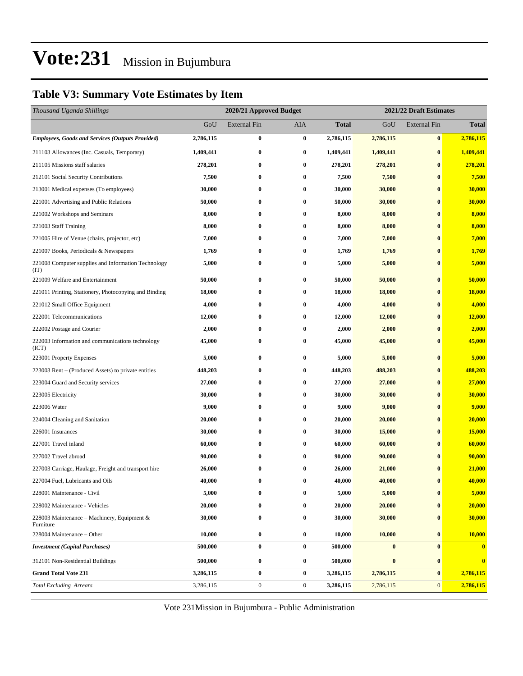### **Table V3: Summary Vote Estimates by Item**

| Thousand Uganda Shillings                                   |           | 2020/21 Approved Budget |                  |              |           | 2021/22 Draft Estimates |              |  |  |
|-------------------------------------------------------------|-----------|-------------------------|------------------|--------------|-----------|-------------------------|--------------|--|--|
|                                                             | GoU       | <b>External Fin</b>     | AIA              | <b>Total</b> | GoU       | <b>External Fin</b>     | <b>Total</b> |  |  |
| <b>Employees, Goods and Services (Outputs Provided)</b>     | 2,786,115 | $\bf{0}$                | $\bf{0}$         | 2,786,115    | 2,786,115 | $\bf{0}$                | 2,786,115    |  |  |
| 211103 Allowances (Inc. Casuals, Temporary)                 | 1,409,441 | $\bf{0}$                | $\bf{0}$         | 1,409,441    | 1,409,441 | $\bf{0}$                | 1,409,441    |  |  |
| 211105 Missions staff salaries                              | 278,201   | $\bf{0}$                | $\bf{0}$         | 278,201      | 278,201   | $\bf{0}$                | 278,201      |  |  |
| 212101 Social Security Contributions                        | 7,500     | $\bf{0}$                | $\bf{0}$         | 7,500        | 7,500     | $\bf{0}$                | 7,500        |  |  |
| 213001 Medical expenses (To employees)                      | 30,000    | $\bf{0}$                | $\bf{0}$         | 30,000       | 30,000    | $\bf{0}$                | 30,000       |  |  |
| 221001 Advertising and Public Relations                     | 50,000    | $\bf{0}$                | $\bf{0}$         | 50,000       | 30,000    | $\bf{0}$                | 30,000       |  |  |
| 221002 Workshops and Seminars                               | 8,000     | $\bf{0}$                | $\bf{0}$         | 8,000        | 8,000     | $\bf{0}$                | 8,000        |  |  |
| 221003 Staff Training                                       | 8,000     | $\bf{0}$                | $\bf{0}$         | 8,000        | 8,000     | $\bf{0}$                | 8,000        |  |  |
| 221005 Hire of Venue (chairs, projector, etc)               | 7,000     | $\bf{0}$                | 0                | 7,000        | 7,000     | $\bf{0}$                | 7,000        |  |  |
| 221007 Books, Periodicals & Newspapers                      | 1,769     | $\bf{0}$                | $\bf{0}$         | 1,769        | 1,769     | $\bf{0}$                | 1,769        |  |  |
| 221008 Computer supplies and Information Technology<br>(TT) | 5,000     | $\bf{0}$                | 0                | 5,000        | 5,000     | $\bf{0}$                | 5,000        |  |  |
| 221009 Welfare and Entertainment                            | 50,000    | $\bf{0}$                | $\bf{0}$         | 50,000       | 50,000    | $\bf{0}$                | 50,000       |  |  |
| 221011 Printing, Stationery, Photocopying and Binding       | 18,000    | $\bf{0}$                | $\bf{0}$         | 18,000       | 18,000    | $\bf{0}$                | 18,000       |  |  |
| 221012 Small Office Equipment                               | 4,000     | $\bf{0}$                | $\bf{0}$         | 4,000        | 4,000     | $\bf{0}$                | 4,000        |  |  |
| 222001 Telecommunications                                   | 12,000    | $\bf{0}$                | 0                | 12,000       | 12,000    | $\bf{0}$                | 12,000       |  |  |
| 222002 Postage and Courier                                  | 2,000     | $\bf{0}$                | $\bf{0}$         | 2,000        | 2,000     | $\bf{0}$                | 2,000        |  |  |
| 222003 Information and communications technology<br>(ICT)   | 45,000    | $\bf{0}$                | 0                | 45,000       | 45,000    | $\bf{0}$                | 45,000       |  |  |
| 223001 Property Expenses                                    | 5,000     | $\bf{0}$                | $\bf{0}$         | 5,000        | 5,000     | $\bf{0}$                | 5,000        |  |  |
| 223003 Rent – (Produced Assets) to private entities         | 448,203   | $\bf{0}$                | $\bf{0}$         | 448,203      | 488,203   | $\bf{0}$                | 488,203      |  |  |
| 223004 Guard and Security services                          | 27,000    | $\bf{0}$                | $\bf{0}$         | 27,000       | 27,000    | $\bf{0}$                | 27,000       |  |  |
| 223005 Electricity                                          | 30,000    | $\bf{0}$                | 0                | 30,000       | 30,000    | $\bf{0}$                | 30,000       |  |  |
| 223006 Water                                                | 9,000     | $\bf{0}$                | $\bf{0}$         | 9,000        | 9,000     | $\bf{0}$                | 9,000        |  |  |
| 224004 Cleaning and Sanitation                              | 20,000    | $\bf{0}$                | $\bf{0}$         | 20,000       | 20,000    | $\bf{0}$                | 20,000       |  |  |
| 226001 Insurances                                           | 30,000    | $\bf{0}$                | $\bf{0}$         | 30,000       | 15,000    | $\bf{0}$                | 15,000       |  |  |
| 227001 Travel inland                                        | 60,000    | $\bf{0}$                | $\bf{0}$         | 60,000       | 60,000    | $\bf{0}$                | 60,000       |  |  |
| 227002 Travel abroad                                        | 90,000    | $\bf{0}$                | 0                | 90,000       | 90,000    | $\bf{0}$                | 90,000       |  |  |
| 227003 Carriage, Haulage, Freight and transport hire        | 26,000    | $\bf{0}$                | $\bf{0}$         | 26,000       | 21,000    | $\bf{0}$                | 21,000       |  |  |
| 227004 Fuel, Lubricants and Oils                            | 40,000    | 0                       | $\bf{0}$         | 40,000       | 40,000    | $\bf{0}$                | 40,000       |  |  |
| 228001 Maintenance - Civil                                  | 5,000     | $\bf{0}$                | $\bf{0}$         | 5,000        | 5,000     | $\bf{0}$                | 5,000        |  |  |
| 228002 Maintenance - Vehicles                               | 20,000    | $\bf{0}$                | 0                | 20,000       | 20,000    | $\bf{0}$                | 20,000       |  |  |
| 228003 Maintenance – Machinery, Equipment $\&$<br>Furniture | 30,000    | $\bf{0}$                | 0                | 30,000       | 30,000    | $\bf{0}$                | 30,000       |  |  |
| 228004 Maintenance - Other                                  | 10,000    | $\bf{0}$                | $\bf{0}$         | 10,000       | 10,000    | $\bf{0}$                | 10,000       |  |  |
| <b>Investment</b> (Capital Purchases)                       | 500,000   | $\bf{0}$                | $\bf{0}$         | 500,000      | $\bf{0}$  | $\bf{0}$                | $\bf{0}$     |  |  |
| 312101 Non-Residential Buildings                            | 500,000   | $\bf{0}$                | $\bf{0}$         | 500,000      | $\pmb{0}$ | $\bf{0}$                | $\bf{0}$     |  |  |
| <b>Grand Total Vote 231</b>                                 | 3,286,115 | $\bf{0}$                | $\bf{0}$         | 3,286,115    | 2,786,115 | $\bf{0}$                | 2,786,115    |  |  |
| <b>Total Excluding Arrears</b>                              | 3,286,115 | $\boldsymbol{0}$        | $\boldsymbol{0}$ | 3,286,115    | 2,786,115 | $\mathbf{0}$            | 2,786,115    |  |  |

Vote 231Mission in Bujumbura - Public Administration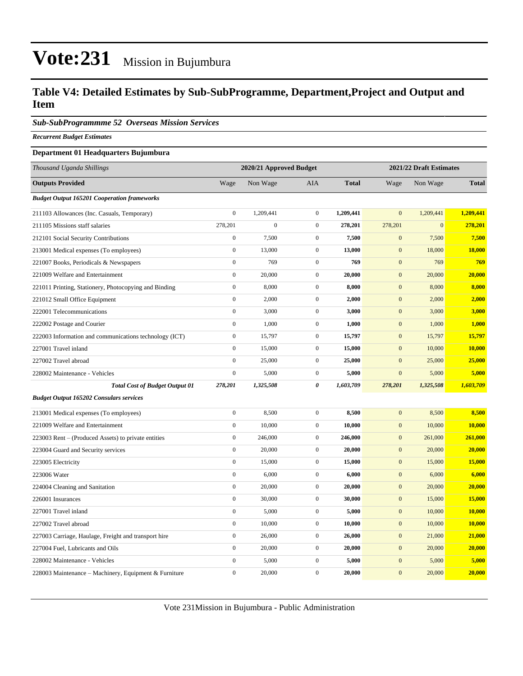#### **Table V4: Detailed Estimates by Sub-SubProgramme, Department,Project and Output and Item**

*Sub-SubProgrammme 52 Overseas Mission Services*

*Recurrent Budget Estimates*

#### **Department 01 Headquarters Bujumbura**

| Thousand Uganda Shillings                              | 2020/21 Approved Budget<br>2021/22 Draft Estimates |              |                  |              |                  |              |               |
|--------------------------------------------------------|----------------------------------------------------|--------------|------------------|--------------|------------------|--------------|---------------|
| <b>Outputs Provided</b>                                | Wage                                               | Non Wage     | AIA              | <b>Total</b> | Wage             | Non Wage     | <b>Total</b>  |
| <b>Budget Output 165201 Cooperation frameworks</b>     |                                                    |              |                  |              |                  |              |               |
| 211103 Allowances (Inc. Casuals, Temporary)            | $\boldsymbol{0}$                                   | 1,209,441    | $\boldsymbol{0}$ | 1,209,441    | $\overline{0}$   | 1,209,441    | 1,209,441     |
| 211105 Missions staff salaries                         | 278,201                                            | $\mathbf{0}$ | $\boldsymbol{0}$ | 278,201      | 278,201          | $\mathbf{0}$ | 278,201       |
| 212101 Social Security Contributions                   | $\boldsymbol{0}$                                   | 7,500        | $\mathbf{0}$     | 7,500        | $\mathbf{0}$     | 7,500        | 7,500         |
| 213001 Medical expenses (To employees)                 | $\boldsymbol{0}$                                   | 13,000       | $\boldsymbol{0}$ | 13,000       | $\boldsymbol{0}$ | 18,000       | <b>18,000</b> |
| 221007 Books, Periodicals & Newspapers                 | $\mathbf{0}$                                       | 769          | $\boldsymbol{0}$ | 769          | $\boldsymbol{0}$ | 769          | 769           |
| 221009 Welfare and Entertainment                       | $\mathbf{0}$                                       | 20,000       | $\boldsymbol{0}$ | 20,000       | $\mathbf{0}$     | 20,000       | 20,000        |
| 221011 Printing, Stationery, Photocopying and Binding  | $\boldsymbol{0}$                                   | 8,000        | $\boldsymbol{0}$ | 8,000        | $\mathbf{0}$     | 8,000        | 8,000         |
| 221012 Small Office Equipment                          | $\boldsymbol{0}$                                   | 2,000        | $\mathbf{0}$     | 2,000        | $\mathbf{0}$     | 2,000        | 2,000         |
| 222001 Telecommunications                              | $\overline{0}$                                     | 3,000        | $\mathbf{0}$     | 3,000        | $\mathbf{0}$     | 3,000        | <b>3,000</b>  |
| 222002 Postage and Courier                             | $\overline{0}$                                     | 1,000        | $\mathbf{0}$     | 1,000        | $\boldsymbol{0}$ | 1,000        | 1,000         |
| 222003 Information and communications technology (ICT) | $\boldsymbol{0}$                                   | 15,797       | $\mathbf{0}$     | 15,797       | $\mathbf{0}$     | 15,797       | 15,797        |
| 227001 Travel inland                                   | $\boldsymbol{0}$                                   | 15,000       | $\boldsymbol{0}$ | 15,000       | $\mathbf{0}$     | 10,000       | 10,000        |
| 227002 Travel abroad                                   | $\boldsymbol{0}$                                   | 25,000       | $\mathbf{0}$     | 25,000       | $\mathbf{0}$     | 25,000       | 25,000        |
| 228002 Maintenance - Vehicles                          | $\boldsymbol{0}$                                   | 5,000        | $\mathbf{0}$     | 5,000        | $\mathbf{0}$     | 5,000        | 5,000         |
| <b>Total Cost of Budget Output 01</b>                  | 278,201                                            | 1,325,508    | 0                | 1,603,709    | 278,201          | 1,325,508    | 1,603,709     |
| <b>Budget Output 165202 Consulars services</b>         |                                                    |              |                  |              |                  |              |               |
| 213001 Medical expenses (To employees)                 | $\overline{0}$                                     | 8,500        | $\mathbf{0}$     | 8,500        | $\overline{0}$   | 8,500        | 8,500         |
| 221009 Welfare and Entertainment                       | $\boldsymbol{0}$                                   | 10,000       | $\boldsymbol{0}$ | 10,000       | $\mathbf{0}$     | 10,000       | 10,000        |
| 223003 Rent – (Produced Assets) to private entities    | $\boldsymbol{0}$                                   | 246,000      | $\mathbf{0}$     | 246,000      | $\mathbf{0}$     | 261,000      | 261,000       |
| 223004 Guard and Security services                     | $\boldsymbol{0}$                                   | 20,000       | $\boldsymbol{0}$ | 20,000       | $\mathbf{0}$     | 20,000       | 20,000        |
| 223005 Electricity                                     | $\boldsymbol{0}$                                   | 15,000       | $\mathbf{0}$     | 15,000       | $\mathbf{0}$     | 15,000       | 15,000        |
| 223006 Water                                           | $\overline{0}$                                     | 6,000        | $\boldsymbol{0}$ | 6,000        | $\mathbf{0}$     | 6,000        | 6,000         |
| 224004 Cleaning and Sanitation                         | $\overline{0}$                                     | 20,000       | $\mathbf{0}$     | 20,000       | $\boldsymbol{0}$ | 20,000       | 20,000        |
| 226001 Insurances                                      | $\boldsymbol{0}$                                   | 30,000       | $\boldsymbol{0}$ | 30,000       | $\boldsymbol{0}$ | 15,000       | 15,000        |
| 227001 Travel inland                                   | $\boldsymbol{0}$                                   | 5,000        | $\mathbf{0}$     | 5,000        | $\boldsymbol{0}$ | 10,000       | <b>10,000</b> |
| 227002 Travel abroad                                   | $\boldsymbol{0}$                                   | 10,000       | $\mathbf{0}$     | 10,000       | $\mathbf{0}$     | 10,000       | 10,000        |
| 227003 Carriage, Haulage, Freight and transport hire   | $\overline{0}$                                     | 26,000       | $\mathbf{0}$     | 26,000       | $\mathbf{0}$     | 21,000       | 21,000        |
| 227004 Fuel, Lubricants and Oils                       | $\overline{0}$                                     | 20,000       | $\boldsymbol{0}$ | 20,000       | $\mathbf{0}$     | 20,000       | 20,000        |
| 228002 Maintenance - Vehicles                          | $\boldsymbol{0}$                                   | 5,000        | $\boldsymbol{0}$ | 5,000        | $\boldsymbol{0}$ | 5,000        | 5,000         |
| 228003 Maintenance – Machinery, Equipment & Furniture  | $\boldsymbol{0}$                                   | 20,000       | $\boldsymbol{0}$ | 20,000       | $\mathbf{0}$     | 20,000       | 20,000        |

Vote 231Mission in Bujumbura - Public Administration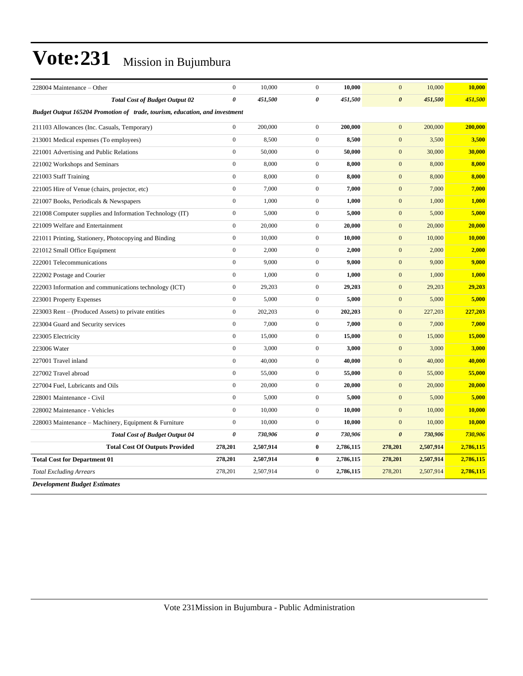| 228004 Maintenance - Other                                                  | $\boldsymbol{0}$ | 10,000    | $\mathbf{0}$          | 10,000    | $\mathbf{0}$          | 10,000    | 10,000        |  |
|-----------------------------------------------------------------------------|------------------|-----------|-----------------------|-----------|-----------------------|-----------|---------------|--|
| <b>Total Cost of Budget Output 02</b>                                       | $\theta$         | 451,500   | 0                     | 451,500   | $\boldsymbol{\theta}$ | 451,500   | 451,500       |  |
| Budget Output 165204 Promotion of trade, tourism, education, and investment |                  |           |                       |           |                       |           |               |  |
| 211103 Allowances (Inc. Casuals, Temporary)                                 | $\overline{0}$   | 200,000   | $\mathbf{0}$          | 200,000   | $\mathbf{0}$          | 200,000   | 200,000       |  |
| 213001 Medical expenses (To employees)                                      | $\boldsymbol{0}$ | 8,500     | $\boldsymbol{0}$      | 8,500     | $\mathbf{0}$          | 3,500     | 3,500         |  |
| 221001 Advertising and Public Relations                                     | $\overline{0}$   | 50,000    | $\mathbf{0}$          | 50,000    | $\mathbf{0}$          | 30,000    | 30,000        |  |
| 221002 Workshops and Seminars                                               | $\overline{0}$   | 8,000     | $\mathbf{0}$          | 8.000     | $\mathbf{0}$          | 8,000     | 8,000         |  |
| 221003 Staff Training                                                       | $\overline{0}$   | 8,000     | $\boldsymbol{0}$      | 8,000     | $\mathbf{0}$          | 8,000     | 8,000         |  |
| 221005 Hire of Venue (chairs, projector, etc)                               | $\overline{0}$   | 7,000     | $\mathbf{0}$          | 7,000     | $\overline{0}$        | 7,000     | 7,000         |  |
| 221007 Books, Periodicals & Newspapers                                      | $\boldsymbol{0}$ | 1,000     | $\boldsymbol{0}$      | 1,000     | $\mathbf{0}$          | 1,000     | 1,000         |  |
| 221008 Computer supplies and Information Technology (IT)                    | $\boldsymbol{0}$ | 5,000     | $\mathbf{0}$          | 5,000     | $\boldsymbol{0}$      | 5,000     | 5,000         |  |
| 221009 Welfare and Entertainment                                            | $\overline{0}$   | 20,000    | $\boldsymbol{0}$      | 20,000    | $\mathbf{0}$          | 20,000    | 20,000        |  |
| 221011 Printing, Stationery, Photocopying and Binding                       | $\overline{0}$   | 10,000    | $\mathbf{0}$          | 10,000    | $\overline{0}$        | 10,000    | 10,000        |  |
| 221012 Small Office Equipment                                               | $\overline{0}$   | 2,000     | $\boldsymbol{0}$      | 2,000     | $\mathbf{0}$          | 2,000     | 2,000         |  |
| 222001 Telecommunications                                                   | $\overline{0}$   | 9,000     | $\boldsymbol{0}$      | 9,000     | $\mathbf{0}$          | 9,000     | 9,000         |  |
| 222002 Postage and Courier                                                  | $\boldsymbol{0}$ | 1,000     | $\boldsymbol{0}$      | 1,000     | $\mathbf{0}$          | 1,000     | 1,000         |  |
| 222003 Information and communications technology (ICT)                      | $\overline{0}$   | 29,203    | $\mathbf{0}$          | 29,203    | $\mathbf{0}$          | 29,203    | 29,203        |  |
| 223001 Property Expenses                                                    | $\boldsymbol{0}$ | 5,000     | $\boldsymbol{0}$      | 5,000     | $\mathbf{0}$          | 5,000     | 5,000         |  |
| 223003 Rent – (Produced Assets) to private entities                         | $\overline{0}$   | 202,203   | $\mathbf{0}$          | 202,203   | $\mathbf{0}$          | 227,203   | 227,203       |  |
| 223004 Guard and Security services                                          | $\mathbf{0}$     | 7,000     | $\mathbf{0}$          | 7,000     | $\mathbf{0}$          | 7,000     | 7,000         |  |
| 223005 Electricity                                                          | $\overline{0}$   | 15,000    | $\mathbf{0}$          | 15,000    | $\mathbf{0}$          | 15,000    | 15,000        |  |
| 223006 Water                                                                | $\boldsymbol{0}$ | 3,000     | $\mathbf{0}$          | 3,000     | $\mathbf{0}$          | 3,000     | 3,000         |  |
| 227001 Travel inland                                                        | $\overline{0}$   | 40,000    | $\mathbf{0}$          | 40,000    | $\mathbf{0}$          | 40,000    | 40,000        |  |
| 227002 Travel abroad                                                        | $\boldsymbol{0}$ | 55,000    | $\boldsymbol{0}$      | 55,000    | $\mathbf{0}$          | 55,000    | 55,000        |  |
| 227004 Fuel, Lubricants and Oils                                            | $\overline{0}$   | 20,000    | $\mathbf{0}$          | 20,000    | $\mathbf{0}$          | 20,000    | 20,000        |  |
| 228001 Maintenance - Civil                                                  | $\boldsymbol{0}$ | 5,000     | $\mathbf{0}$          | 5,000     | $\mathbf{0}$          | 5,000     | 5,000         |  |
| 228002 Maintenance - Vehicles                                               | $\overline{0}$   | 10,000    | $\mathbf{0}$          | 10,000    | $\mathbf{0}$          | 10,000    | 10,000        |  |
| 228003 Maintenance - Machinery, Equipment & Furniture                       | $\boldsymbol{0}$ | 10,000    | $\mathbf{0}$          | 10,000    | $\mathbf{0}$          | 10,000    | <b>10,000</b> |  |
| <b>Total Cost of Budget Output 04</b>                                       | 0                | 730,906   | $\boldsymbol{\theta}$ | 730,906   | $\boldsymbol{\theta}$ | 730,906   | 730,906       |  |
| <b>Total Cost Of Outputs Provided</b>                                       | 278,201          | 2,507,914 | $\bf{0}$              | 2,786,115 | 278,201               | 2,507,914 | 2,786,115     |  |
| <b>Total Cost for Department 01</b>                                         | 278,201          | 2,507,914 | $\bf{0}$              | 2,786,115 | 278,201               | 2,507,914 | 2,786,115     |  |
| <b>Total Excluding Arrears</b>                                              | 278,201          | 2,507,914 | $\mathbf{0}$          | 2,786,115 | 278,201               | 2,507,914 | 2,786,115     |  |
| <b>Development Budget Estimates</b>                                         |                  |           |                       |           |                       |           |               |  |